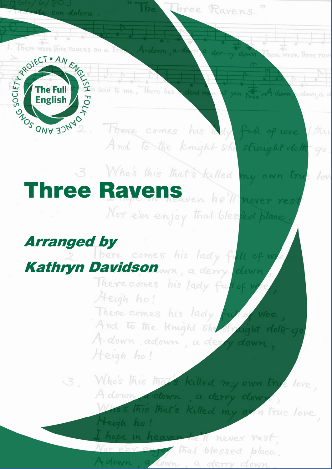1. There were three ravens on a true A-down, a-do

te con doloro



 $\int$ 

There comes his lady full of we (this And to the knight she straight doth go

Three Ravens.

a der-ry down There were three rave

et yon Tree! A. down a. down a

3. Who's this that's killed my own true love Nor e'er enjoy that blessed place

Arranged by<br>2. There comes his lady full of we Kathryn Davidson man, a denny down

Heigh ho!

There comes his lady full of w Heigh ho! There comes his lady full of woe And to the knight she straight dolf go A. down, adown, a dery down, Heigh ho!

3. Who's this that's killed my own true love, Adown, a down, a derry down, os this that's killed my own true love

> I hope in heaven hell never rest Nor eler enjoy that blessed place. Adown, adown, a derry down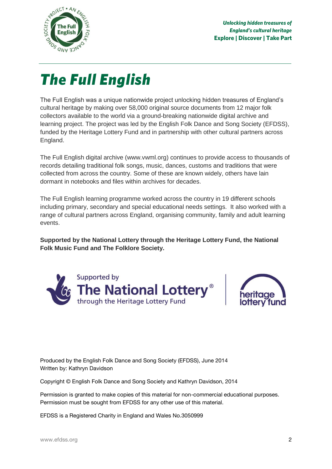

*The Full English* The Full English was a unique nationwide project unlocking hidden treasures of England's cultural heritage by making over 58,000 original source documents from 12 major folk collectors available to the world via a ground-breaking nationwide digital archive and learning project. The project was led by the English Folk Dance and Song Society (EFDSS), funded by the Heritage Lottery Fund and in partnership with other cultural partners across England.

The Full English digital archive (www.vwml.org) continues to provide access to thousands of records detailing traditional folk songs, music, dances, customs and traditions that were collected from across the country. Some of these are known widely, others have lain dormant in notebooks and files within archives for decades.

The Full English learning programme worked across the country in 19 different schools including primary, secondary and special educational needs settings. It also worked with a range of cultural partners across England, organising community, family and adult learning events.

**Supported by the National Lottery through the Heritage Lottery Fund, the National Folk Music Fund and The Folklore Society.**





Produced by the English Folk Dance and Song Society (EFDSS), June 2014 Written by: Kathryn Davidson

Copyright © English Folk Dance and Song Society and Kathryn Davidson, 2014

Permission is granted to make copies of this material for non-commercial educational purposes. Permission must be sought from EFDSS for any other use of this material.

EFDSS is a Registered Charity in England and Wales No.3050999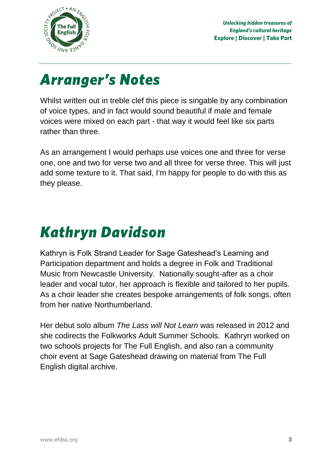

*Arranger's Notes* Whilst written out in treble clef this piece is singable by any combination of voice types, and in fact would sound beautiful if male and female voices were mixed on each part - that way it would feel like six parts rather than three.

As an arrangement I would perhaps use voices one and three for verse one, one and two for verse two and all three for verse three. This will just add some texture to it. That said, I'm happy for people to do with this as they please.

# *Kathryn Davidson*

Kathryn is Folk Strand Leader for Sage Gateshead's Learning and Participation department and holds a degree in Folk and Traditional Music from Newcastle University. Nationally sought-after as a choir leader and vocal tutor, her approach is flexible and tailored to her pupils. As a choir leader she creates bespoke arrangements of folk songs, often from her native Northumberland.

Her debut solo album *The Lass will Not Learn* was released in 2012 and she codirects the Folkworks Adult Summer Schools. Kathryn worked on two schools projects for The Full English, and also ran a community choir event at Sage Gateshead drawing on material from The Full English digital archive.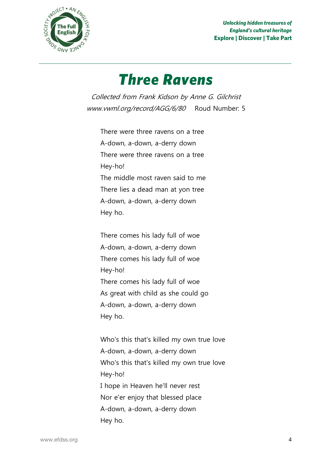

*Unlocking hidden treasures of England's cultural heritage* **Explore | Discover | Take Part**

# **Three Ravens**

*Three Ravens* Collected from Frank Kidson by Anne G. Gilchrist www.vwml.org/record/AGG/6/80 Roud Number: 5

There were three ravens on a tree A-down, a-down, a-derry down There were three ravens on a tree Hey-ho! The middle most raven said to me There lies a dead man at yon tree A-down, a-down, a-derry down Hey ho.

There comes his lady full of woe A-down, a-down, a-derry down There comes his lady full of woe Hey-ho! There comes his lady full of woe As great with child as she could go A-down, a-down, a-derry down Hey ho.

Who's this that's killed my own true love A-down, a-down, a-derry down Who's this that's killed my own true love Hey-ho! I hope in Heaven he'll never rest Nor e'er enjoy that blessed place A-down, a-down, a-derry down Hey ho.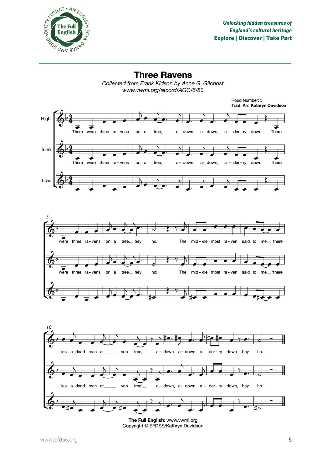

**Three Ravens** Collected from Frank Kidson by Anne G. Gilchrist www.vwml.org/record/AGG/6/80





The Full English: www.vwml.org Copyright © EFDSS/Kathryn Davidson